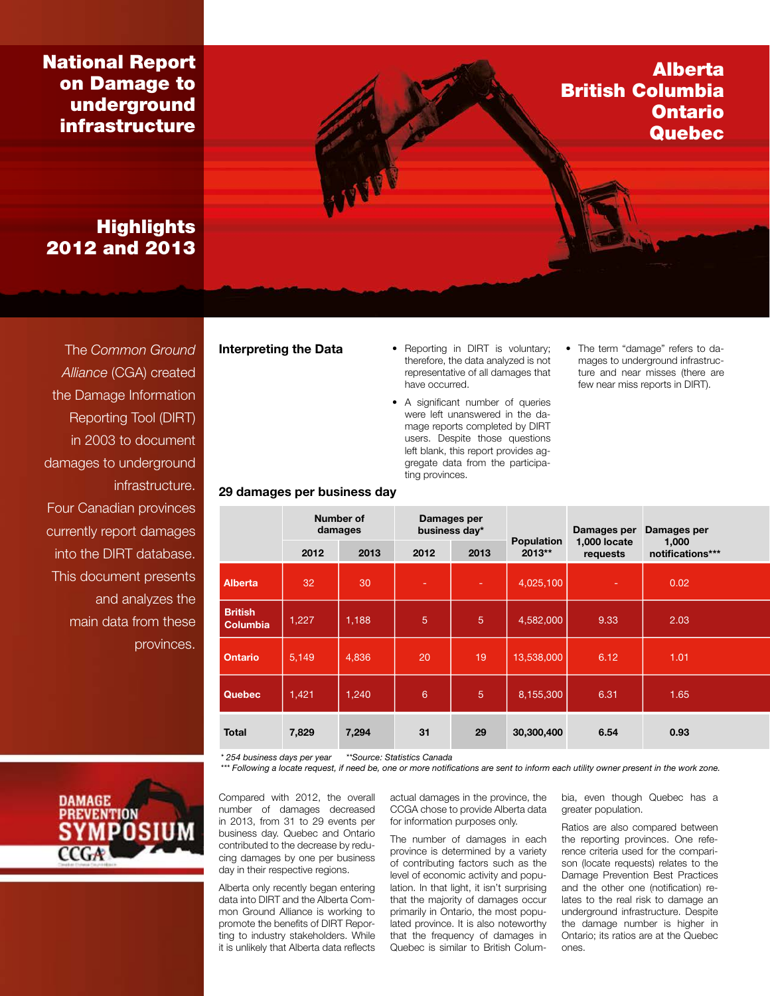National Report on Damage to underground infrastructure

# **Highlights** 2012 and 2013

The *Common Ground Alliance* (CGA) created the Damage Information Reporting Tool (DIRT) in 2003 to document damages to underground infrastructure. Four Canadian provinces currently report damages into the DIRT database. This document presents and analyzes the main data from these provinces.



29 damages per business day

- Interpreting the Data Reporting in DIRT is voluntary; therefore, the data analyzed is not representative of all damages that have occurred.
	- A significant number of queries were left unanswered in the damage reports completed by DIRT users. Despite those questions left blank, this report provides aggregate data from the participating provinces.
- The term "damage" refers to damages to underground infrastructure and near misses (there are few near miss reports in DIRT).

Alberta

Ontario **Quebec** 

British Columbia

|                                   | Number of<br>damages |       | Damages per<br>business day* |                |                             | Damages per              | Damages per               |  |
|-----------------------------------|----------------------|-------|------------------------------|----------------|-----------------------------|--------------------------|---------------------------|--|
|                                   | 2012                 | 2013  | 2012                         | 2013           | <b>Population</b><br>2013** | 1,000 locate<br>requests | 1,000<br>notifications*** |  |
| <b>Alberta</b>                    | 32                   | 30    |                              |                | 4,025,100                   | ۰                        | 0.02                      |  |
| <b>British</b><br><b>Columbia</b> | 1,227                | 1,188 | $\overline{5}$               | $\overline{5}$ | 4,582,000                   | 9.33                     | 2.03                      |  |
| <b>Ontario</b>                    | 5,149                | 4,836 | 20                           | 19             | 13,538,000                  | 6.12                     | 1.01                      |  |
| <b>Quebec</b>                     | 1,421                | 1,240 | $6\phantom{1}6$              | 5              | 8,155,300                   | 6.31                     | 1.65                      |  |
| <b>Total</b>                      | 7,829                | 7,294 | 31                           | 29             | 30,300,400                  | 6.54                     | 0.93                      |  |

*\* 254 business days per year \*\*Source: Statistics Canada*

*\*\*\* Following a locate request, if need be, one or more notifications are sent to inform each utility owner present in the work zone.*

Compared with 2012, the overall number of damages decreased in 2013, from 31 to 29 events per business day. Quebec and Ontario contributed to the decrease by reducing damages by one per business day in their respective regions.

Alberta only recently began entering data into DIRT and the Alberta Common Ground Alliance is working to promote the benefits of DIRT Reporting to industry stakeholders. While it is unlikely that Alberta data reflects actual damages in the province, the CCGA chose to provide Alberta data for information purposes only.

The number of damages in each province is determined by a variety of contributing factors such as the level of economic activity and population. In that light, it isn't surprising that the majority of damages occur primarily in Ontario, the most populated province. It is also noteworthy that the frequency of damages in Quebec is similar to British Columbia, even though Quebec has a greater population.

Ratios are also compared between the reporting provinces. One reference criteria used for the comparison (locate requests) relates to the Damage Prevention Best Practices and the other one (notification) relates to the real risk to damage an underground infrastructure. Despite the damage number is higher in Ontario; its ratios are at the Quebec ones.